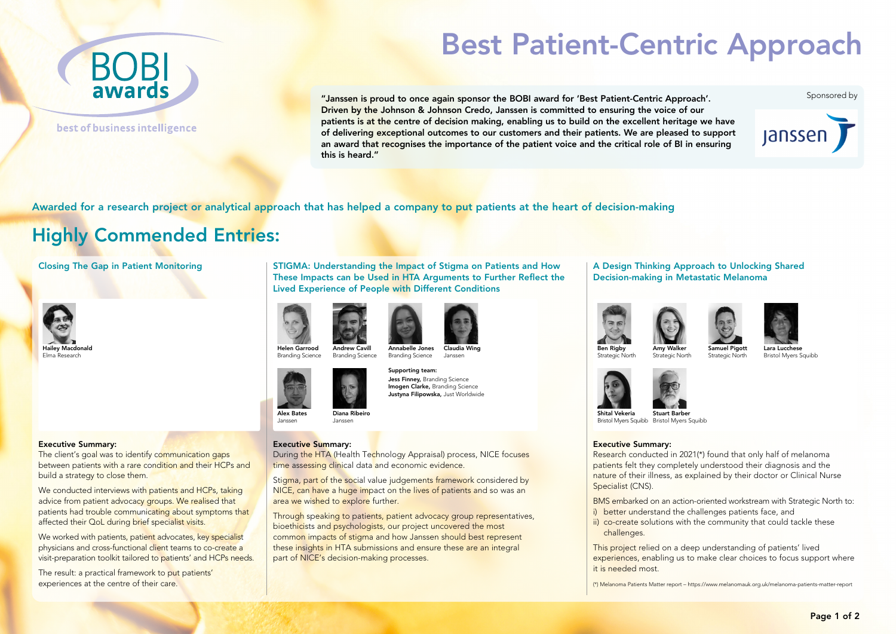# Best Patient-Centric Approach



## best of business intelligence

"Janssen is proud to once again sponsor the BOBI award for 'Best Patient-Centric Approach'. Driven by the Johnson & Johnson Credo, Janssen is committed to ensuring the voice of our patients is at the centre of decision making, enabling us to build on the excellent heritage we have of delivering exceptional outcomes to our customers and their patients. We are pleased to support an award that recognises the importance of the patient voice and the critical role of BI in ensuring this is heard."

Awarded for a research project or analytical approach that has helped a company to put patients at the heart of decision-making

Research conducted in 2021(\*) found that only half of melanoma patients felt they completely understood their diagnosis and the nature of their illness, as explained by their doctor or Clinical Nurse Specialist (CNS).

# Highly Commended Entries:



#### Executive Summary:

During the HTA (Health Technology Appraisal) process, NICE focuses time assessing clinical data and economic evidence.

Stigma, part of the social value judgements framework considered by NICE, can have a huge impact on the lives of patients and so was an area we wished to explore further.

BMS embarked on an action-oriented workstream with Strategic North to: i) better understand the challenges patients face, and ii) co-create solutions with the community that could tackle these

The client's goal was to identify communication gaps between patients with a rare condition and their HCPs and build a strategy to close them.

> Through speaking to patients, patient advocacy group representatives, bioethicists and psychologists, our project uncovered the most common impacts of stigma and how Janssen should best represent these insights in HTA submissions and ensure these are an integral part of NICE's decision-making processes.

We conducted interviews with patients and HCPs, taking advice from patient advocacy groups. We realised that patients had trouble communicating about symptoms that affected their QoL during brief specialist visits.

#### Executive Summary:

We worked with patients, patient advocates, key specialist physicians and cross-functional client teams to co-create a visit-preparation toolkit tailored to patients' and HCPs needs.



Samuel Pigott Strategic North

- 
- 
- challenges.

This project relied on a deep understanding of patients' lived experiences, enabling us to make clear choices to focus support where it is needed most.

(\*) Melanoma Patients Matter report – https://www.melanomauk.org.uk/melanoma-patients-matter-report

### A Design Thinking Approach to Unlocking Shared Decision-making in Metastatic Melanoma



The result: a practical framework to put patients' experiences at the centre of their care.

Closing The Gap in Patient Monitoring



Hailey Macdonald Elma Research

## Page 1 of 2



Branding Science



Branding Science





Annabelle Jones Branding Science Claudia Wing Janssen



Ben Rigby Strategic North



Amy Walker Strategic North



Lara Lucchese Bristol Myers Squibb

Alex Bates Janssen

#### Diana Ribeiro Janssen



Bristol Myers Squibb Bristol Myers Squibb



Supporting team:





STIGMA: Understanding the Impact of Stigma on Patients and How These Impacts can be Used in HTA Arguments to Further Reflect the Lived Experience of People with Different Conditions